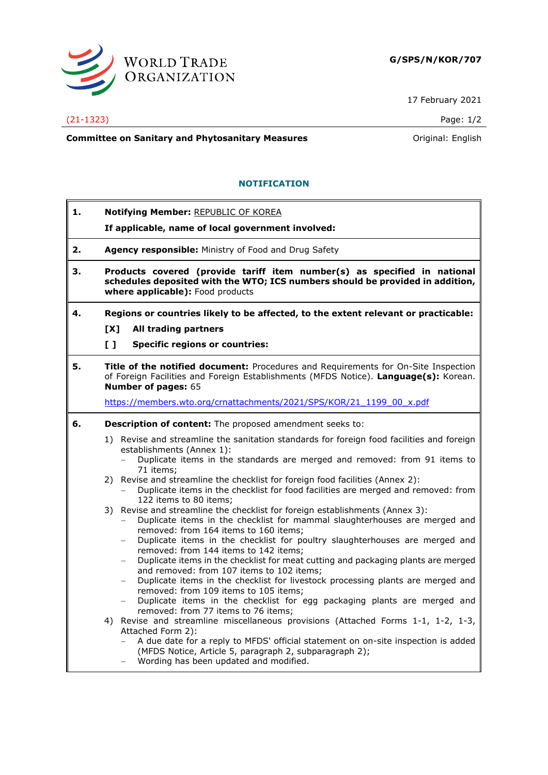

17 February 2021

## (21-1323) Page: 1/2

**Committee on Sanitary and Phytosanitary Measures Committee on Sanitary and Phytosanitary Measures Committee And American** 

**NOTIFICATION**

- **1. Notifying Member:** REPUBLIC OF KOREA
	- **If applicable, name of local government involved:**
- **2. Agency responsible:** Ministry of Food and Drug Safety
- **3. Products covered (provide tariff item number(s) as specified in national schedules deposited with the WTO; ICS numbers should be provided in addition, where applicable):** Food products
- **4. Regions or countries likely to be affected, to the extent relevant or practicable: [X] All trading partners**
	-
	- **[ ] Specific regions or countries:**
- **5. Title of the notified document:** Procedures and Requirements for On-Site Inspection of Foreign Facilities and Foreign Establishments (MFDS Notice). **Language(s):** Korean. **Number of pages:** 65

[https://members.wto.org/crnattachments/2021/SPS/KOR/21\\_1199\\_00\\_x.pdf](https://members.wto.org/crnattachments/2021/SPS/KOR/21_1199_00_x.pdf)

- **6. Description of content:** The proposed amendment seeks to:
	- 1) Revise and streamline the sanitation standards for foreign food facilities and foreign establishments (Annex 1):
		- Duplicate items in the standards are merged and removed: from 91 items to 71 items;
	- 2) Revise and streamline the checklist for foreign food facilities (Annex 2):
		- − Duplicate items in the checklist for food facilities are merged and removed: from 122 items to 80 items;
	- 3) Revise and streamline the checklist for foreign establishments (Annex 3):
		- − Duplicate items in the checklist for mammal slaughterhouses are merged and removed: from 164 items to 160 items;
		- − Duplicate items in the checklist for poultry slaughterhouses are merged and removed: from 144 items to 142 items;
		- − Duplicate items in the checklist for meat cutting and packaging plants are merged and removed: from 107 items to 102 items;
		- − Duplicate items in the checklist for livestock processing plants are merged and removed: from 109 items to 105 items;
		- Duplicate items in the checklist for egg packaging plants are merged and removed: from 77 items to 76 items;
	- 4) Revise and streamline miscellaneous provisions (Attached Forms 1-1, 1-2, 1-3, Attached Form 2):
		- − A due date for a reply to MFDS' official statement on on-site inspection is added (MFDS Notice, Article 5, paragraph 2, subparagraph 2);
		- − Wording has been updated and modified.